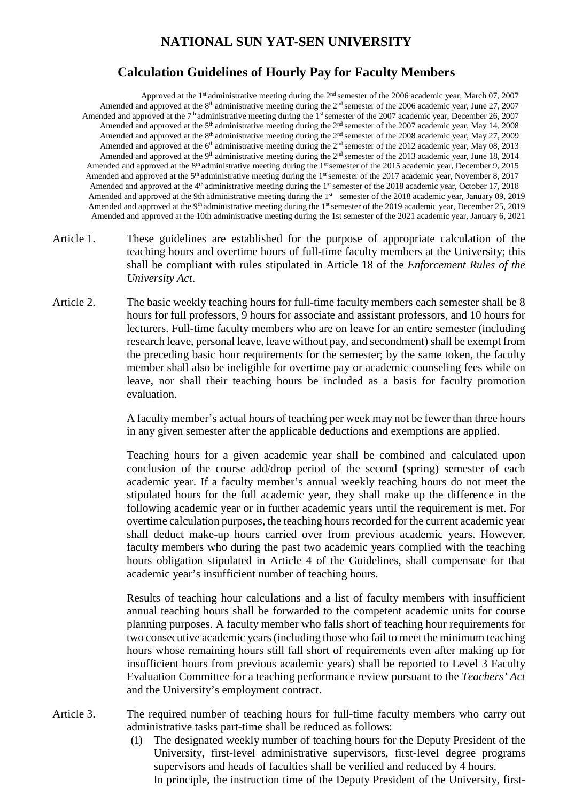## **NATIONAL SUN YAT-SEN UNIVERSITY**

## **Calculation Guidelines of Hourly Pay for Faculty Members**

Approved at the 1<sup>st</sup> administrative meeting during the 2<sup>nd</sup> semester of the 2006 academic year, March 07, 2007 Amended and approved at the 8<sup>th</sup> administrative meeting during the 2<sup>nd</sup> semester of the 2006 academic year, June 27, 2007 Amended and approved at the 7<sup>th</sup> administrative meeting during the 1<sup>st</sup> semester of the 2007 academic year, December 26, 2007 Amended and approved at the 5<sup>th</sup> administrative meeting during the 2<sup>nd</sup> semester of the 2007 academic year, May 14, 2008 Amended and approved at the  $8<sup>th</sup>$  administrative meeting during the  $2<sup>nd</sup>$  semester of the 2008 academic year, May 27, 2009 Amended and approved at the  $6<sup>th</sup>$  administrative meeting during the  $2<sup>nd</sup>$  semester of the 2012 academic year, May 08, 2013 Amended and approved at the 9<sup>th</sup> administrative meeting during the  $2<sup>nd</sup>$  semester of the 2013 academic year, June 18, 2014 Amended and approved at the 8<sup>th</sup> administrative meeting during the 1<sup>st</sup> semester of the 2015 academic year, December 9, 2015 Amended and approved at the 5<sup>th</sup> administrative meeting during the 1<sup>st</sup> semester of the 2017 academic year, November 8, 2017 Amended and approved at the 4<sup>th</sup> administrative meeting during the 1<sup>st</sup> semester of the 2018 academic year, October 17, 2018 Amended and approved at the 9th administrative meeting during the 1<sup>st</sup> semester of the 2018 academic year, January 09, 2019 Amended and approved at the 9<sup>th</sup> administrative meeting during the 1<sup>st</sup> semester of the 2019 academic year, December 25, 2019 Amended and approved at the 10th administrative meeting during the 1st semester of the 2021 academic year, January 6, 2021

- Article 1. These guidelines are established for the purpose of appropriate calculation of the teaching hours and overtime hours of full-time faculty members at the University; this shall be compliant with rules stipulated in Article 18 of the *Enforcement Rules of the University Act*.
- Article 2. The basic weekly teaching hours for full-time faculty members each semester shall be 8 hours for full professors, 9 hours for associate and assistant professors, and 10 hours for lecturers. Full-time faculty members who are on leave for an entire semester (including research leave, personal leave, leave without pay, and secondment) shall be exempt from the preceding basic hour requirements for the semester; by the same token, the faculty member shall also be ineligible for overtime pay or academic counseling fees while on leave, nor shall their teaching hours be included as a basis for faculty promotion evaluation.

A faculty member's actual hours of teaching per week may not be fewer than three hours in any given semester after the applicable deductions and exemptions are applied.

Teaching hours for a given academic year shall be combined and calculated upon conclusion of the course add/drop period of the second (spring) semester of each academic year. If a faculty member's annual weekly teaching hours do not meet the stipulated hours for the full academic year, they shall make up the difference in the following academic year or in further academic years until the requirement is met. For overtime calculation purposes, the teaching hours recorded for the current academic year shall deduct make-up hours carried over from previous academic years. However, faculty members who during the past two academic years complied with the teaching hours obligation stipulated in Article 4 of the Guidelines, shall compensate for that academic year's insufficient number of teaching hours.

Results of teaching hour calculations and a list of faculty members with insufficient annual teaching hours shall be forwarded to the competent academic units for course planning purposes. A faculty member who falls short of teaching hour requirements for two consecutive academic years (including those who fail to meet the minimum teaching hours whose remaining hours still fall short of requirements even after making up for insufficient hours from previous academic years) shall be reported to Level 3 Faculty Evaluation Committee for a teaching performance review pursuant to the *Teachers' Act* and the University's employment contract.

- Article 3. The required number of teaching hours for full-time faculty members who carry out administrative tasks part-time shall be reduced as follows:
	- (1) The designated weekly number of teaching hours for the Deputy President of the University, first-level administrative supervisors, first-level degree programs supervisors and heads of faculties shall be verified and reduced by 4 hours. In principle, the instruction time of the Deputy President of the University, first-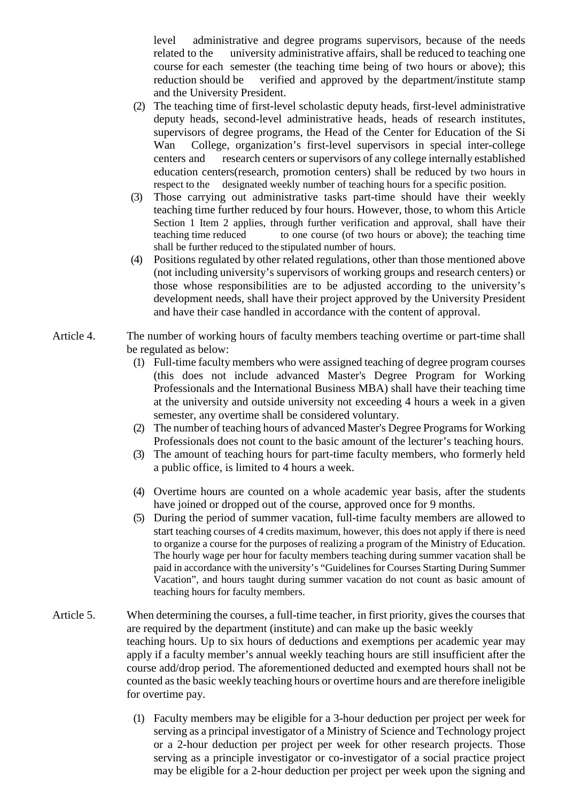level administrative and degree programs supervisors, because of the needs related to the university administrative affairs, shall be reduced to teaching one course for each semester (the teaching time being of two hours or above); this reduction should be verified and approved by the department/institute stamp and the University President.

- (2) The teaching time of first-level scholastic deputy heads, first-level administrative deputy heads, second-level administrative heads, heads of research institutes, supervisors of degree programs, the Head of the Center for Education of the Si Wan College, organization's first-level supervisors in special inter-college centers and research centers or supervisors of any college internally established education centers(research, promotion centers) shall be reduced by two hours in respect to the designated weekly number of teaching hours for a specific position.
- (3) Those carrying out administrative tasks part-time should have their weekly teaching time further reduced by four hours. However, those, to whom this Article Section 1 Item 2 applies, through further verification and approval, shall have their teaching time reduced to one course (of two hours or above); the teaching time shall be further reduced to the stipulated number of hours.
- (4) Positions regulated by other related regulations, other than those mentioned above (not including university's supervisors of working groups and research centers) or those whose responsibilities are to be adjusted according to the university's development needs, shall have their project approved by the University President and have their case handled in accordance with the content of approval.
- Article 4. The number of working hours of faculty members teaching overtime or part-time shall be regulated as below:
	- (1) Full-time faculty members who were assigned teaching of degree program courses (this does not include advanced Master's Degree Program for Working Professionals and the International Business MBA) shall have their teaching time at the university and outside university not exceeding 4 hours a week in a given semester, any overtime shall be considered voluntary.
	- (2) The number of teaching hours of advanced Master's Degree Programs for Working Professionals does not count to the basic amount of the lecturer's teaching hours.
	- (3) The amount of teaching hours for part-time faculty members, who formerly held a public office, is limited to 4 hours a week.
	- (4) Overtime hours are counted on a whole academic year basis, after the students have joined or dropped out of the course, approved once for 9 months.
	- (5) During the period of summer vacation, full-time faculty members are allowed to start teaching courses of 4 credits maximum, however, this does not apply if there is need to organize a course for the purposes of realizing a program of the Ministry of Education. The hourly wage per hour for faculty members teaching during summer vacation shall be paid in accordance with the university's "Guidelines for Courses Starting During Summer Vacation", and hours taught during summer vacation do not count as basic amount of teaching hours for faculty members.
- Article 5. When determining the courses, a full-time teacher, in first priority, gives the courses that are required by the department (institute) and can make up the basic weekly teaching hours. Up to six hours of deductions and exemptions per academic year may apply if a faculty member's annual weekly teaching hours are still insufficient after the course add/drop period. The aforementioned deducted and exempted hours shall not be counted as the basic weekly teaching hours or overtime hours and are therefore ineligible for overtime pay.
	- (1) Faculty members may be eligible for a 3-hour deduction per project per week for serving as a principal investigator of a Ministry of Science and Technology project or a 2-hour deduction per project per week for other research projects. Those serving as a principle investigator or co-investigator of a social practice project may be eligible for a 2-hour deduction per project per week upon the signing and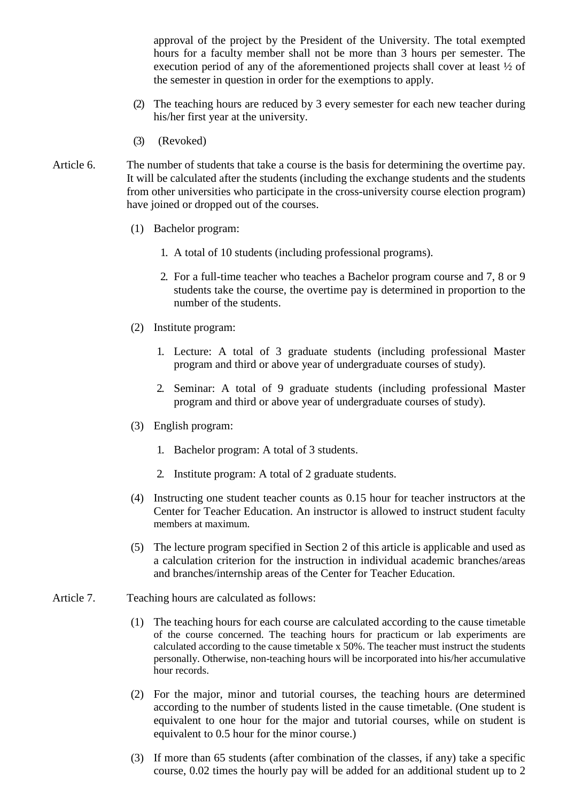approval of the project by the President of the University. The total exempted hours for a faculty member shall not be more than 3 hours per semester. The execution period of any of the aforementioned projects shall cover at least ½ of the semester in question in order for the exemptions to apply.

- (2) The teaching hours are reduced by 3 every semester for each new teacher during his/her first year at the university.
- (3) (Revoked)
- Article 6. The number of students that take a course is the basis for determining the overtime pay. It will be calculated after the students (including the exchange students and the students from other universities who participate in the cross-university course election program) have joined or dropped out of the courses.
	- (1) Bachelor program:
		- 1. A total of 10 students (including professional programs).
		- 2. For a full-time teacher who teaches a Bachelor program course and 7, 8 or 9 students take the course, the overtime pay is determined in proportion to the number of the students.
	- (2) Institute program:
		- 1. Lecture: A total of 3 graduate students (including professional Master program and third or above year of undergraduate courses of study).
		- 2. Seminar: A total of 9 graduate students (including professional Master program and third or above year of undergraduate courses of study).
	- (3) English program:
		- 1. Bachelor program: A total of 3 students.
		- 2. Institute program: A total of 2 graduate students.
	- (4) Instructing one student teacher counts as 0.15 hour for teacher instructors at the Center for Teacher Education. An instructor is allowed to instruct student faculty members at maximum.
	- (5) The lecture program specified in Section 2 of this article is applicable and used as a calculation criterion for the instruction in individual academic branches/areas and branches/internship areas of the Center for Teacher Education.
- Article 7. Teaching hours are calculated as follows:
	- (1) The teaching hours for each course are calculated according to the cause timetable of the course concerned. The teaching hours for practicum or lab experiments are calculated according to the cause timetable x 50%. The teacher must instruct the students personally. Otherwise, non-teaching hours will be incorporated into his/her accumulative hour records.
	- (2) For the major, minor and tutorial courses, the teaching hours are determined according to the number of students listed in the cause timetable. (One student is equivalent to one hour for the major and tutorial courses, while on student is equivalent to 0.5 hour for the minor course.)
	- (3) If more than 65 students (after combination of the classes, if any) take a specific course, 0.02 times the hourly pay will be added for an additional student up to 2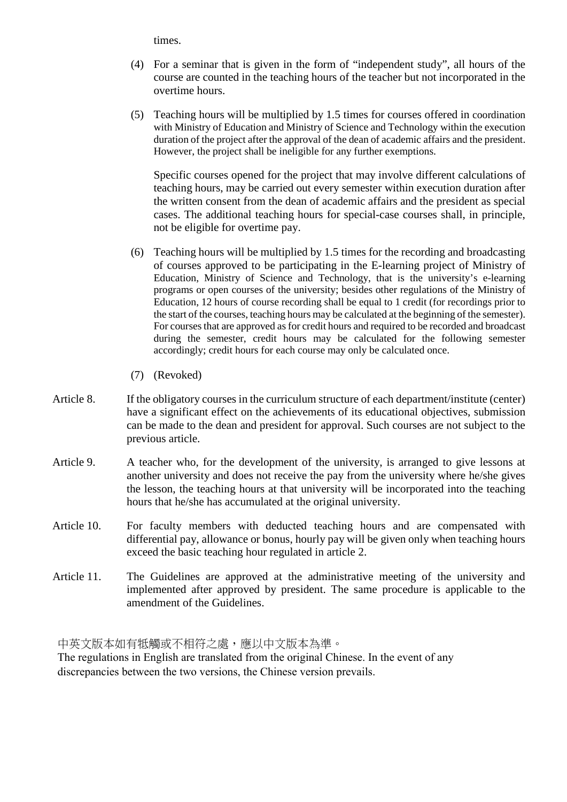times.

- (4) For a seminar that is given in the form of "independent study", all hours of the course are counted in the teaching hours of the teacher but not incorporated in the overtime hours.
- (5) Teaching hours will be multiplied by 1.5 times for courses offered in coordination with Ministry of Education and Ministry of Science and Technology within the execution duration of the project after the approval of the dean of academic affairs and the president. However, the project shall be ineligible for any further exemptions.

Specific courses opened for the project that may involve different calculations of teaching hours, may be carried out every semester within execution duration after the written consent from the dean of academic affairs and the president as special cases. The additional teaching hours for special-case courses shall, in principle, not be eligible for overtime pay.

- (6) Teaching hours will be multiplied by 1.5 times for the recording and broadcasting of courses approved to be participating in the E-learning project of Ministry of Education, Ministry of Science and Technology, that is the university's e-learning programs or open courses of the university; besides other regulations of the Ministry of Education, 12 hours of course recording shall be equal to 1 credit (for recordings prior to the start of the courses, teaching hours may be calculated at the beginning of the semester). For courses that are approved as for credit hours and required to be recorded and broadcast during the semester, credit hours may be calculated for the following semester accordingly; credit hours for each course may only be calculated once.
- (7) (Revoked)
- Article 8. If the obligatory courses in the curriculum structure of each department/institute (center) have a significant effect on the achievements of its educational objectives, submission can be made to the dean and president for approval. Such courses are not subject to the previous article.
- Article 9. A teacher who, for the development of the university, is arranged to give lessons at another university and does not receive the pay from the university where he/she gives the lesson, the teaching hours at that university will be incorporated into the teaching hours that he/she has accumulated at the original university.
- Article 10. For faculty members with deducted teaching hours and are compensated with differential pay, allowance or bonus, hourly pay will be given only when teaching hours exceed the basic teaching hour regulated in article 2.
- Article 11. The Guidelines are approved at the administrative meeting of the university and implemented after approved by president. The same procedure is applicable to the amendment of the Guidelines.

中英文版本如有牴觸或不相符之處,應以中文版本為準。

The regulations in English are translated from the original Chinese. In the event of any discrepancies between the two versions, the Chinese version prevails.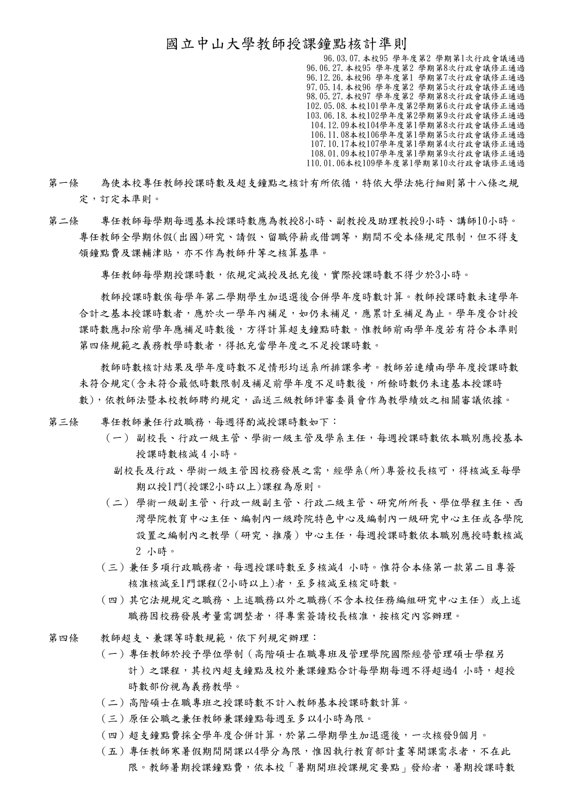## 國立中山大學教師授課鐘點核計準則

96.03.07.本校95 學年度第2 學期第1次行政會議通過 96.06.27.本校95 學年度第2 學期第8次行政會議修正通過 96.12.26.本校96 學年度第1 學期第7次行政會議修正通過 97.05.14.本校96 學年度第2 學期第5次行政會議修正通過 98.05.27.本校97 學年度第2 學期第8次行政會議修正通過 102.05.08.本校101學年度第2學期第6次行政會議修正通過 103.06.18.本校102學年度第2學期第9次行政會議修正通過 104.12.09本校104學年度第1學期第8次行政會議修正通過 106.11.08本校106學年度第1學期第5次行政會議修正通過 107.10.17本校107學年度第1學期第4次行政會議修正通過 108.01.09本校107學年度第1學期第9次行政會議修正通過 110.01.06本校109學年度第1學期第10次行政會議修正通過

- 第一條 為使本校專任教師授課時數及超支鐘點之核計有所依循,特依大學法施行細則第十八條之規 定,訂定本準則。
- 第二條 專任教師每學期每週基本授課時數應為教授8小時、副教授及助理教授9小時、講師10小時。 專任教師全學期休假(出國)研究、請假、留職停薪或借調等,期間不受本條規定限制,但不得支 領鐘點費及課輔津貼,亦不作為教師升等之核算基準。

專任教師每學期授課時數,依規定減授及抵充後,實際授課時數不得少於3小時。

 教師授課時數俟每學年第二學期學生加退選後合併學年度時數計算。教師授課時數未達學年 合計之基本授課時數者,應於次一學年內補足,如仍未補足,應累計至補足為止。學年度合計授 課時數應扣除前學年應補足時數後,方得計算超支鐘點時數。惟教師前兩學年度若有符合本準則 第四條規範之義務教學時數者,得抵充當學年度之不足授課時數。

 教師時數核計結果及學年度時數不足情形均送系所排課參考。教師若連續兩學年度授課時數 未符合規定(含未符合最低時數限制及補足前學年度不足時數後,所餘時數仍未達基本授課時 數),依教師法暨本校教師聘約規定,函送三級教師評審委員會作為教學績效之相關審議依據。

- 第三條 專任教師兼任行政職務,每週得酌減授課時數如下:
	- (一) 副校長、行政一級主管、學術一級主管及學系主任,每週授課時數依本職別應授基本 授課時數核減 4 小時。
	- 副校長及行政、學術一級主管因校務發展之需,經學系(所)專簽校長核可,得核減至每學 期以授1門(授課2小時以上)課程為原則。
	- (二) 學術一級副主管、行政一級副主管、行政二級主管、研究所所長、學位學程主任、西 灣學院教育中心主任、編制內一級跨院特色中心及編制內一級研究中心主任或各學院 設置之編制內之教學(研究、推廣)中心主任,每週授課時數依本職別應授時數核減 2 小時。
	- (三)兼任多項行政職務者,每週授課時數至多核減4 小時。惟符合本條第一款第二目專簽 核准核減至1門課程(2小時以上)者,至多核減至核定時數。
	- (四)其它法規規定之職務、上述職務以外之職務(不含本校任務編組研究中心主任) 或上述 職務因校務發展考量需調整者,得專案簽請校長核准,按核定內容辦理。
- 第四條 教師超支、兼課等時數規範,依下列規定辦理:
	- (一)專任教師於授予學位學制(高階碩士在職專班及管理學院國際經營管理碩士學程另 計)之課程,其校內超支鐘點及校外兼課鐘點合計每學期每週不得超過4 小時,超授 時數部份視為義務教學。
	- (二)高階碩士在職專班之授課時數不計入教師基本授課時數計算。
	- (三)原任公職之兼任教師兼課鐘點每週至多以4小時為限。
	- (四)超支鐘點費採全學年度合併計算,於第二學期學生加退選後,一次核發9個月。
	- (五)專任教師寒暑假期間開課以4學分為限,惟因執行教育部計畫等開課需求者,不在此 限。教師暑期授課鐘點費,依本校「暑期開班授課規定要點」發給者,暑期授課時數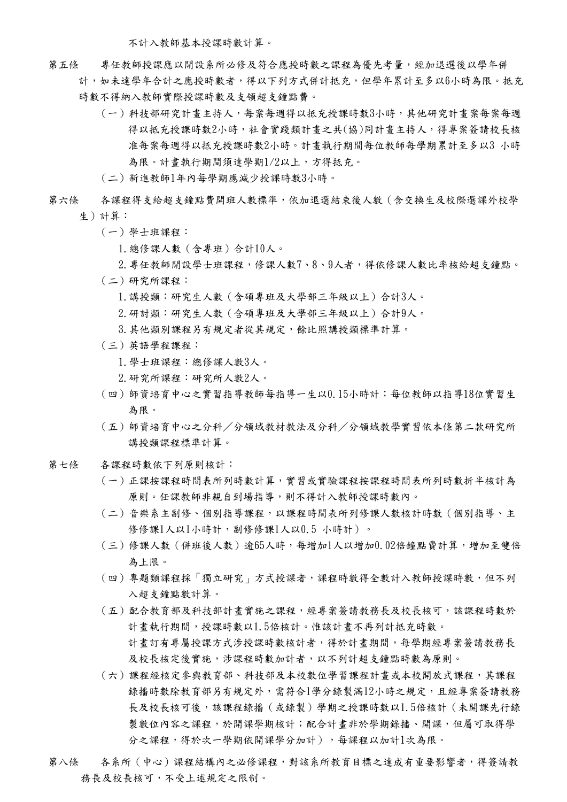不計入教師基本授課時數計算。

- 第五條 專任教師授課應以開設系所必修及符合應授時數之課程為優先考量,經加退選後以學年併
	- 計,如未達學年合計之應授時數者,得以下列方式併計抵充,但學年累計至多以6小時為限。抵充 時數不得納入教師實際授課時數及支領超支鐘點費。
		- (一)科技部研究計畫主持人,每案每週得以抵充授課時數3小時,其他研究計畫案每案每週 得以抵充授課時數2小時,社會實踐類計畫之共(協)同計畫主持人,得專案簽請校長核 准每案每週得以抵充授課時數2小時。計畫執行期間每位教師每學期累計至多以3 小時 為限。計畫執行期間須達學期1/2以上,方得抵充。
		- (二)新進教師1年內每學期應減少授課時數3小時。
- 第六條 各課程得支給超支鐘點費開班人數標準,依加退選結束後人數(含交換生及校際選課外校學 生)計算:
	- (一)學士班課程:
		- 1.總修課人數(含專班)合計10人。
	- 2. 專任教師開設學士班課程,修課人數7、8、9人者,得依修課人數比率核給超支鐘點。
	- (二)研究所課程:
		- 1.講授類:研究生人數(含碩專班及大學部三年級以上)合計3人。
		- 2.研討類:研究生人數(含碩專班及大學部三年級以上)合計9人。
		- 3. 其他類別課程另有規定者從其規定,餘比照講授類標準計算。
	- (三)英語學程課程:
		- 1.學士班課程:總修課人數3人。
		- 2.研究所課程:研究所人數2人。
	- (四)師資培育中心之實習指導教師每指導一生以0.15小時計;每位教師以指導18位實習生 為限。
	- (五)師資培育中心之分科/分領域教材教法及分科/分領域教學實習依本條第二款研究所 講授類課程標準計算。
- 第七條 各課程時數依下列原則核計:
	- (一)正課按課程時間表所列時數計算,實習或實驗課程按課程時間表所列時數折半核計為 原則。任課教師非親自到場指導,則不得計入教師授課時數內。
	- (二)音樂系主副修、個別指導課程,以課程時間表所列修課人數核計時數(個別指導、主 修修課1人以1小時計,副修修課1人以0.5 小時計)。
	- (三)修課人數(併班後人數)逾65人時,每增加1人以增加0.02倍鐘點費計算,增加至雙倍 為上限。
	- (四)專題類課程採「獨立研究」方式授課者,課程時數得全數計入教師授課時數,但不列 入超支鐘點數計算。
	- (五)配合教育部及科技部計畫實施之課程,經專案簽請教務長及校長核可,該課程時數於 計畫執行期間,授課時數以1.5倍核計。惟該計畫不再列計抵充時數。 計畫訂有專屬授課方式涉授課時數核計者,得於計畫期間,每學期經專案簽請教務長 及校長核定後實施,涉課程時數加計者,以不列計超支鐘點時數為原則。
	- (六)課程經核定參與教育部、科技部及本校數位學習課程計畫或本校開放式課程,其課程 錄播時數除教育部另有規定外,需符合1學分錄製滿12小時之規定,且經專案簽請教務 長及校長核可後,該課程錄播(或錄製)學期之授課時數以1.5倍核計(未開課先行錄 製數位內容之課程,於開課學期核計;配合計畫非於學期錄播、開課,但屬可取得學 分之課程,得於次一學期依開課學分加計),每課程以加計1次為限。
- 第八條 各系所 (中心)課程結構內之必修課程,對該系所教育目標之達成有重要影響者,得簽請教 務長及校長核可,不受上述規定之限制。